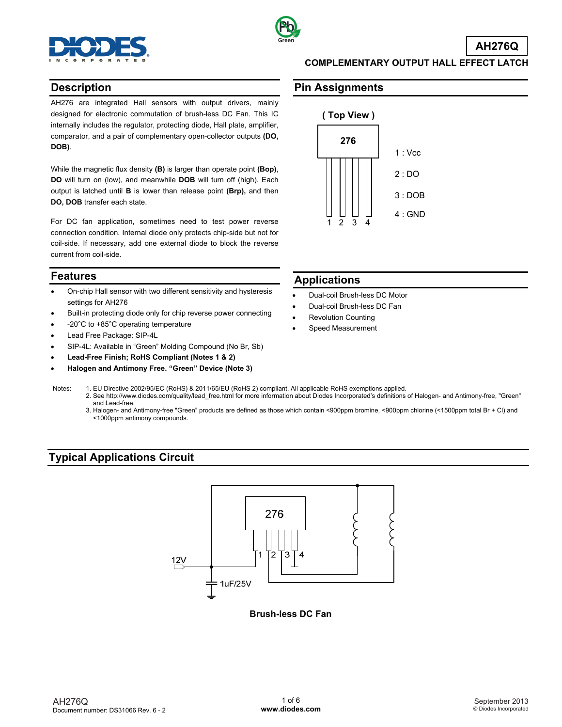



**AH276Q**

#### **Description**

AH276 are integrated Hall sensors with output drivers, mainly designed for electronic commutation of brush-less DC Fan. This IC internally includes the regulator, protecting diode, Hall plate, amplifier, comparator, and a pair of complementary open-collector outputs **(DO, DOB)**.

While the magnetic flux density **(B)** is larger than operate point **(Bop)**, **DO** will turn on (low), and meanwhile **DOB** will turn off (high). Each output is latched until **B** is lower than release point **(Brp),** and then **DO, DOB** transfer each state.

For DC fan application, sometimes need to test power reverse connection condition. Internal diode only protects chip-side but not for coil-side. If necessary, add one external diode to block the reverse current from coil-side.

#### **Features**

- On-chip Hall sensor with two different sensitivity and hysteresis settings for AH276
- Built-in protecting diode only for chip reverse power connecting
- -20°C to +85°C operating temperature
- Lead Free Package: SIP-4L
- SIP-4L: Available in "Green" Molding Compound (No Br, Sb)
- **Lead-Free Finish; RoHS Compliant (Notes 1 & 2)**
- **Halogen and Antimony Free. "Green" Device (Note 3)**

**COMPLEMENTARY OUTPUT HALL EFFECT LATCH** 

### **Pin Assignments**



#### **Applications**

- Dual-coil Brush-less DC Motor
- Dual-coil Brush-less DC Fan
- Revolution Counting
- Speed Measurement
- Notes: 1. EU Directive 2002/95/EC (RoHS) & 2011/65/EU (RoHS 2) compliant. All applicable RoHS exemptions applied. 2. See [http://www.diodes.com/quality/lead\\_free.html fo](http://www.diodes.com/quality/lead_free.html)r more information about Diodes Incorporated's definitions of Halogen- and Antimony-free, "Green" and Lead-free.
	- 3. Halogen- and Antimony-free "Green" products are defined as those which contain <900ppm bromine, <900ppm chlorine (<1500ppm total Br + Cl) and <1000ppm antimony compounds.

# **Typical Applications Circuit**



#### **Brush-less DC Fan**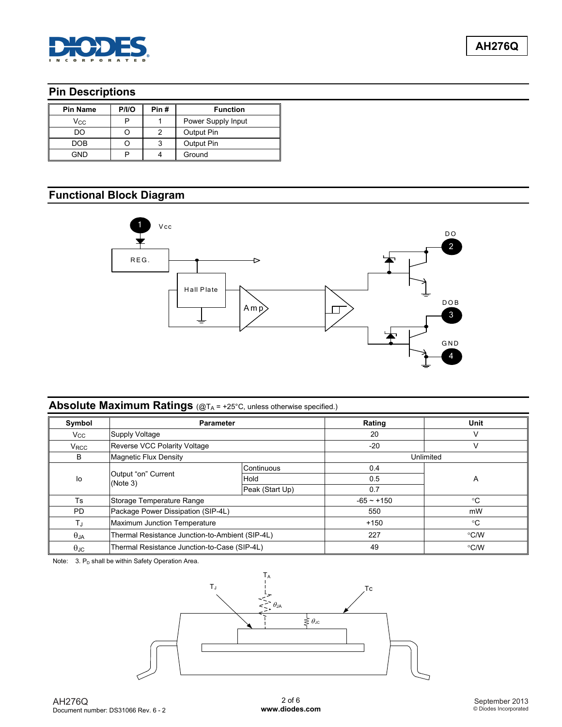

# **Pin Descriptions**

| <b>Pin Name</b> | P/IO | Pin# | <b>Function</b>    |
|-----------------|------|------|--------------------|
| Vcc             |      |      | Power Supply Input |
| DO              |      |      | Output Pin         |
| <b>DOB</b>      |      |      | Output Pin         |
| GND             |      |      | Ground             |

# **Functional Block Diagram**



# **Absolute Maximum Ratings** (@TA = +25°C, unless otherwise specified.)

| Symbol           | <b>Parameter</b>                                |                 | Rating       | Unit          |
|------------------|-------------------------------------------------|-----------------|--------------|---------------|
| $V_{\rm CC}$     | Supply Voltage                                  |                 | 20           | v             |
| $V_{\text{RCC}}$ | Reverse VCC Polarity Voltage                    |                 | $-20$        | V             |
| B                | <b>Magnetic Flux Density</b>                    |                 |              | Unlimited     |
|                  |                                                 | Continuous      | 0.4          |               |
| lo               | Output "on" Current<br>(Note 3)                 | Hold            | 0.5          | A             |
|                  |                                                 | Peak (Start Up) | 0.7          |               |
| Ts               | Storage Temperature Range                       |                 | $-65 - +150$ | $^{\circ}C$   |
| <b>PD</b>        | Package Power Dissipation (SIP-4L)              |                 | 550          | mW            |
| TJ               | Maximum Junction Temperature                    |                 | $+150$       | $^{\circ}C$   |
| $\theta$ JA      | Thermal Resistance Junction-to-Ambient (SIP-4L) |                 | 227          | $\degree$ C/W |
| $\theta$ JC      | Thermal Resistance Junction-to-Case (SIP-4L)    |                 | 49           | °C/W          |

Note:  $3. P<sub>D</sub>$  shall be within Safety Operation Area.

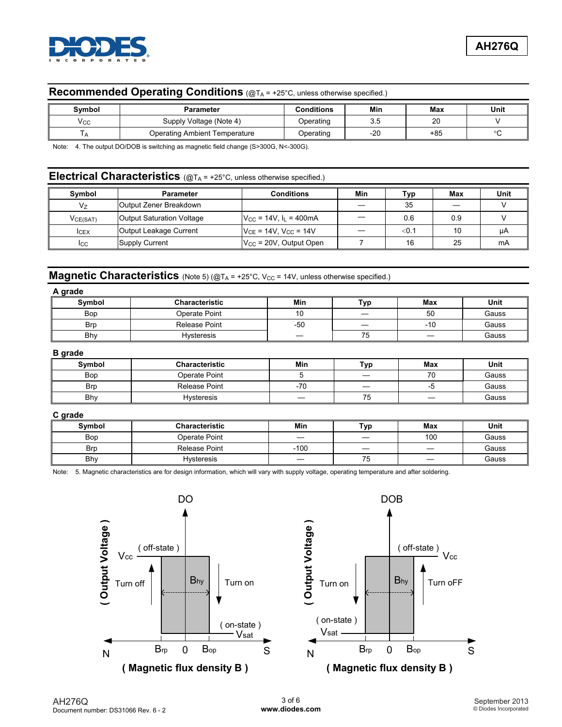

# **Recommended Operating Conditions** (@TA = +25°C, unless otherwise specified.)

| Symbol | Parameter                     | <b>Conditions</b> | Min       | Max | Unit |
|--------|-------------------------------|-------------------|-----------|-----|------|
| Vcc    | Supply Voltage (Note 4)       | Operating         | 2c<br>◡.◡ | 20  |      |
|        | Operating Ambient Temperature | Operating         | $-20$     | +85 |      |

Note: 4. The output DO/DOB is switching as magnetic field change (S>300G, N<-300G).

# **Electrical Characteristics** (@TA = +25°C, unless otherwise specified.)

| Symbol   | <b>Parameter</b>          | Conditions                                    | Min | Typ   | Max | Unit |
|----------|---------------------------|-----------------------------------------------|-----|-------|-----|------|
| V7       | Output Zener Breakdown    |                                               |     | 35    |     |      |
| VCE(SAT) | Output Saturation Voltage | $V_{\text{CC}}$ = 14V, $I_{\text{L}}$ = 400mA |     | 0.6   | 0.9 |      |
| ICEX     | Output Leakage Current    | $V_{CE}$ = 14V, $V_{CC}$ = 14V                |     | < 0.1 | 10  | μA   |
| Icc      | Supply Current            | $V_{\rm CC}$ = 20V, Output Open               |     | 16    | 25  | mA   |

#### **Magnetic Characteristics** (Note 5) (@TA = +25°C, V<sub>CC</sub> = 14V, unless otherwise specified.)

| A grade    |                       |       |     |       |       |
|------------|-----------------------|-------|-----|-------|-------|
| Symbol     | <b>Characteristic</b> | Min   | Typ | Max   | Unit  |
| <b>Bop</b> | Operate Point         | 10    |     | 50    | Gauss |
| <b>Brp</b> | Release Point         | $-50$ |     | $-10$ | Gauss |
| Bhy        | <b>Hysteresis</b>     |       | 75  |       | Gauss |

**B grade** 

| Symbol     | <b>Characteristic</b> | Min   | Typ | Max | Unit  |
|------------|-----------------------|-------|-----|-----|-------|
| Bop        | Operate Point         |       |     | 70  | Gauss |
| <b>Brp</b> | Release Point         | $-70$ |     |     | Gauss |
| Bhy        | <b>Hysteresis</b>     |       | 75  | __  | Gauss |

#### **C grade**

| Symbol     | <b>Characteristic</b> | Min        | Typ       | Max | Unit  |
|------------|-----------------------|------------|-----------|-----|-------|
| Bop        | Operate Point         |            |           | 100 | Gauss |
| <b>Brp</b> | <b>Release Point</b>  | 100<br>- 1 |           | _   | Gauss |
| Bhy        | Hysteresis            |            | --<br>ں ، |     | Gauss |

Note: 5. Magnetic characteristics are for design information, which will vary with supply voltage, operating temperature and after soldering.



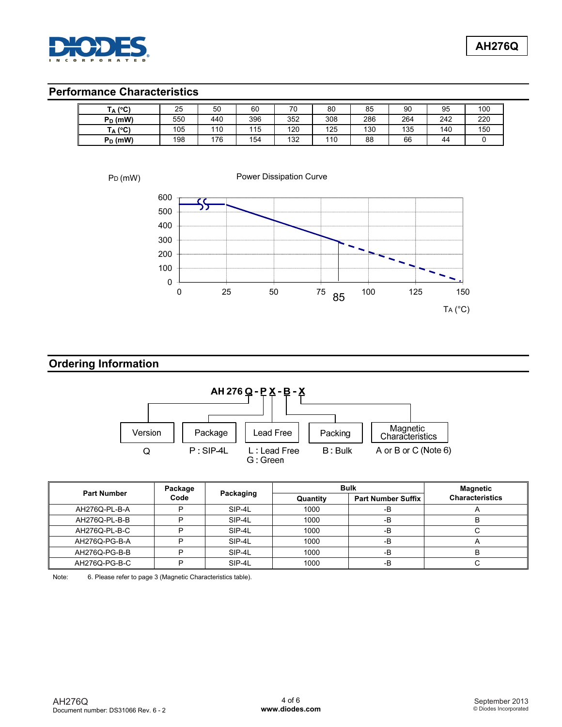

# **Performance Characteristics**

| $(A^{\circ}C)$ | 25  | 50  | 60  | 70  | 80  | 85  | 90  | 95  | 100 |
|----------------|-----|-----|-----|-----|-----|-----|-----|-----|-----|
| $P_D$ (mW)     | 550 | 440 | 396 | 352 | 308 | 286 | 264 | 242 | 220 |
| $(A^{\circ}C)$ | 105 | 110 | 115 | 120 | 125 | 130 | 135 | 140 | 150 |
| $P_D$ (mW)     | 198 | 76  | 154 | 132 | 110 | 88  | 66  | 44  |     |

PD (mW)

Power Dissipation Curve



## **Ordering Information**



| <b>Part Number</b> | Package | Packaging | <b>Bulk</b> |                           | <b>Magnetic</b>        |
|--------------------|---------|-----------|-------------|---------------------------|------------------------|
|                    | Code    |           | Quantity    | <b>Part Number Suffix</b> | <b>Characteristics</b> |
| AH276Q-PL-B-A      | D       | SIP-4L    | 1000        | -B                        |                        |
| AH276Q-PL-B-B      | ח       | SIP-4L    | 1000        | -B                        |                        |
| AH276Q-PL-B-C      | ח       | SIP-4L    | 1000        | -B                        |                        |
| AH276Q-PG-B-A      | D       | SIP-4L    | 1000        | $-B$                      |                        |
| AH276Q-PG-B-B      | D       | SIP-4L    | 1000        | -B                        |                        |
| AH276Q-PG-B-C      | D       | SIP-4L    | 1000        | $-B$                      |                        |

Note: 6. Please refer to page 3 (Magnetic Characteristics table).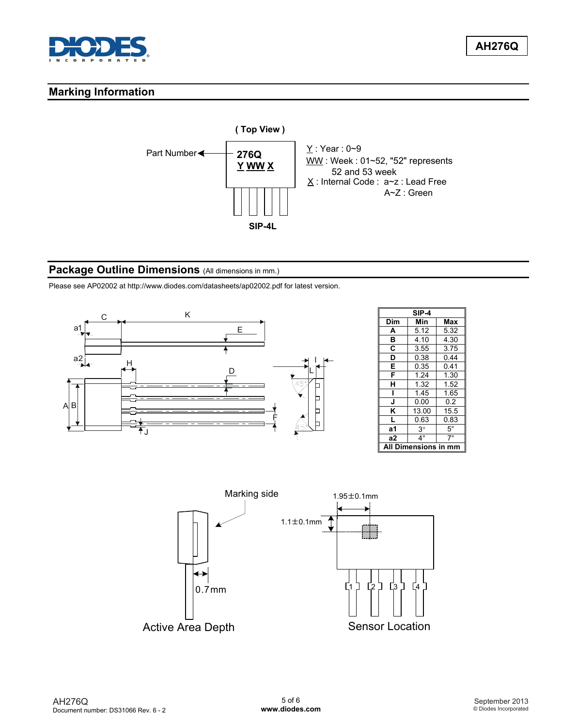

**AH276Q**

## **Marking Information**



#### **Package Outline Dimensions** (All dimensions in mm.)

Please see AP02002 at [http://www.diodes.com/datasheets/ap02002.pdf fo](http://www.diodes.com/datasheets/ap02002.pdf)r latest version.



|     | SIP-4     |           |
|-----|-----------|-----------|
| Dim | Min       | Max       |
| А   | 5.12      | 5.32      |
| в   | 4.10      | 4.30      |
| C   | 3.55      | 3.75      |
| D   | 0.38      | 0.44      |
| E   | 0.35      | 0.41      |
| F   | 1.24      | 1.30      |
| н   | 1.32      | 1.52      |
|     | 1.45      | 1.65      |
| J   | 0.00      | 0.2       |
| K   | 13.00     | 15.5      |
| L   | 0.63      | 0.83      |
| а1  | $3^\circ$ | $5^\circ$ |
| a2  | $4^\circ$ | $7^\circ$ |
|     | ıensions  |           |